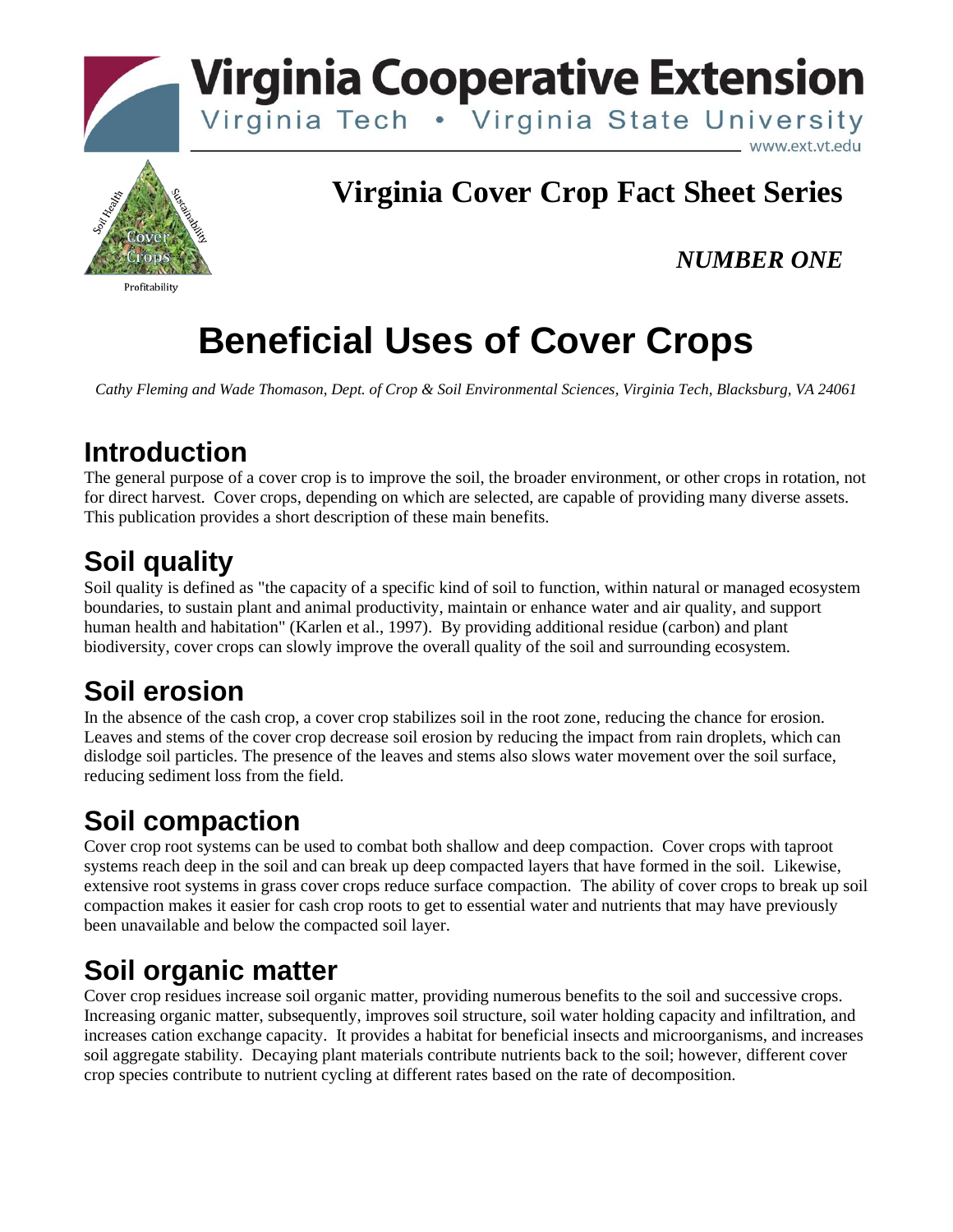



#### Profitability

#### **Virginia Cover Crop Fact Sheet Series**

#### *NUMBER ONE*

# **Beneficial Uses of Cover Crops**

*Cathy Fleming and Wade Thomason, Dept. of Crop & Soil Environmental Sciences, Virginia Tech, Blacksburg, VA 24061*

#### **Introduction**

The general purpose of a cover crop is to improve the soil, the broader environment, or other crops in rotation, not for direct harvest. Cover crops, depending on which are selected, are capable of providing many diverse assets. This publication provides a short description of these main benefits.

#### **Soil quality**

Soil quality is defined as "the capacity of a specific kind of soil to function, within natural or managed ecosystem boundaries, to sustain plant and animal productivity, maintain or enhance water and air quality, and support human health and habitation" (Karlen et al., 1997). By providing additional residue (carbon) and plant biodiversity, cover crops can slowly improve the overall quality of the soil and surrounding ecosystem.

#### **Soil erosion**

In the absence of the cash crop, a cover crop stabilizes soil in the root zone, reducing the chance for erosion. Leaves and stems of the cover crop decrease soil erosion by reducing the impact from rain droplets, which can dislodge soil particles. The presence of the leaves and stems also slows water movement over the soil surface, reducing sediment loss from the field.

## **Soil compaction**

Cover crop root systems can be used to combat both shallow and deep compaction. Cover crops with taproot systems reach deep in the soil and can break up deep compacted layers that have formed in the soil. Likewise, extensive root systems in grass cover crops reduce surface compaction. The ability of cover crops to break up soil compaction makes it easier for cash crop roots to get to essential water and nutrients that may have previously been unavailable and below the compacted soil layer.

## **Soil organic matter**

Cover crop residues increase soil organic matter, providing numerous benefits to the soil and successive crops. Increasing organic matter, subsequently, improves soil structure, soil water holding capacity and infiltration, and increases cation exchange capacity. It provides a habitat for beneficial insects and microorganisms, and increases soil aggregate stability. Decaying plant materials contribute nutrients back to the soil; however, different cover crop species contribute to nutrient cycling at different rates based on the rate of decomposition.